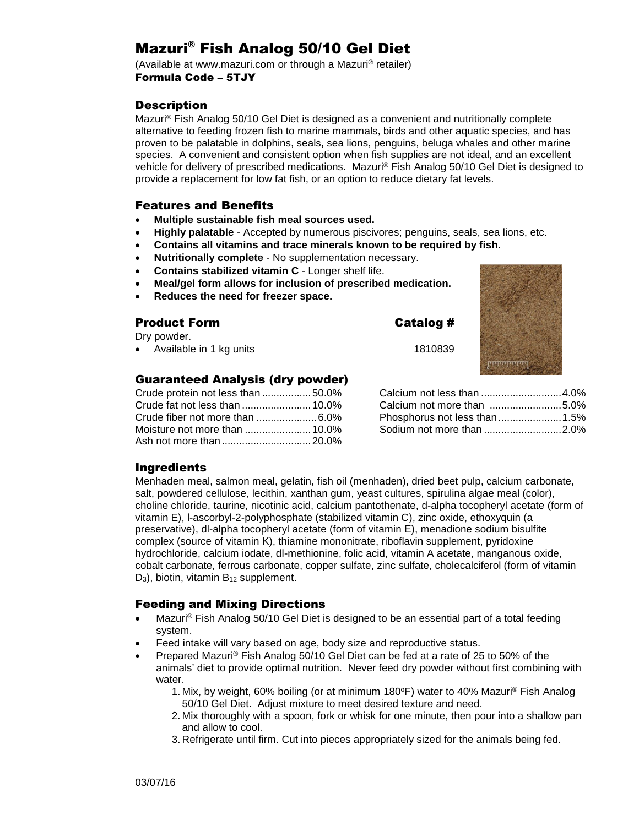# Mazuri® Fish Analog 50/10 Gel Diet

(Available at www.mazuri.com or through a Mazuri® retailer) Formula Code – 5TJY

### **Description**

Mazuri® Fish Analog 50/10 Gel Diet is designed as a convenient and nutritionally complete alternative to feeding frozen fish to marine mammals, birds and other aquatic species, and has proven to be palatable in dolphins, seals, sea lions, penguins, beluga whales and other marine species. A convenient and consistent option when fish supplies are not ideal, and an excellent vehicle for delivery of prescribed medications. Mazuri® Fish Analog 50/10 Gel Diet is designed to provide a replacement for low fat fish, or an option to reduce dietary fat levels.

#### Features and Benefits

- **Multiple sustainable fish meal sources used.**
- **Highly palatable** Accepted by numerous piscivores; penguins, seals, sea lions, etc.
- **Contains all vitamins and trace minerals known to be required by fish.**
- **Nutritionally complete** No supplementation necessary.
- **Contains stabilized vitamin C** Longer shelf life.
- **Meal/gel form allows for inclusion of prescribed medication.**
- **Reduces the need for freezer space.**

#### Product Form Catalog #

Dry powder.

• Available in 1 kg units 1810839

#### Guaranteed Analysis (dry powder)

| Crude protein not less than 50.0% |
|-----------------------------------|
|                                   |
|                                   |
|                                   |
|                                   |
|                                   |

Calcium not less than ............................4.0% Calcium not more than .........................5.0% Phosphorus not less than......................1.5% Sodium not more than ...........................2.0%

#### Ingredients

Menhaden meal, salmon meal, gelatin, fish oil (menhaden), dried beet pulp, calcium carbonate, salt, powdered cellulose, lecithin, xanthan gum, yeast cultures, spirulina algae meal (color), choline chloride, taurine, nicotinic acid, calcium pantothenate, d-alpha tocopheryl acetate (form of vitamin E), l-ascorbyl-2-polyphosphate (stabilized vitamin C), zinc oxide, ethoxyquin (a preservative), dl-alpha tocopheryl acetate (form of vitamin E), menadione sodium bisulfite complex (source of vitamin K), thiamine mononitrate, riboflavin supplement, pyridoxine hydrochloride, calcium iodate, dl-methionine, folic acid, vitamin A acetate, manganous oxide, cobalt carbonate, ferrous carbonate, copper sulfate, zinc sulfate, cholecalciferol (form of vitamin D<sub>3</sub>), biotin, vitamin B<sub>12</sub> supplement.

#### Feeding and Mixing Directions

- Mazuri® Fish Analog 50/10 Gel Diet is designed to be an essential part of a total feeding system.
- Feed intake will vary based on age, body size and reproductive status.
- Prepared Mazuri® Fish Analog 50/10 Gel Diet can be fed at a rate of 25 to 50% of the animals' diet to provide optimal nutrition. Never feed dry powder without first combining with water.
	- 1. Mix, by weight, 60% boiling (or at minimum  $180^{\circ}$ F) water to 40% Mazuri<sup>®</sup> Fish Analog 50/10 Gel Diet. Adjust mixture to meet desired texture and need.
	- 2. Mix thoroughly with a spoon, fork or whisk for one minute, then pour into a shallow pan and allow to cool.
	- 3. Refrigerate until firm. Cut into pieces appropriately sized for the animals being fed.